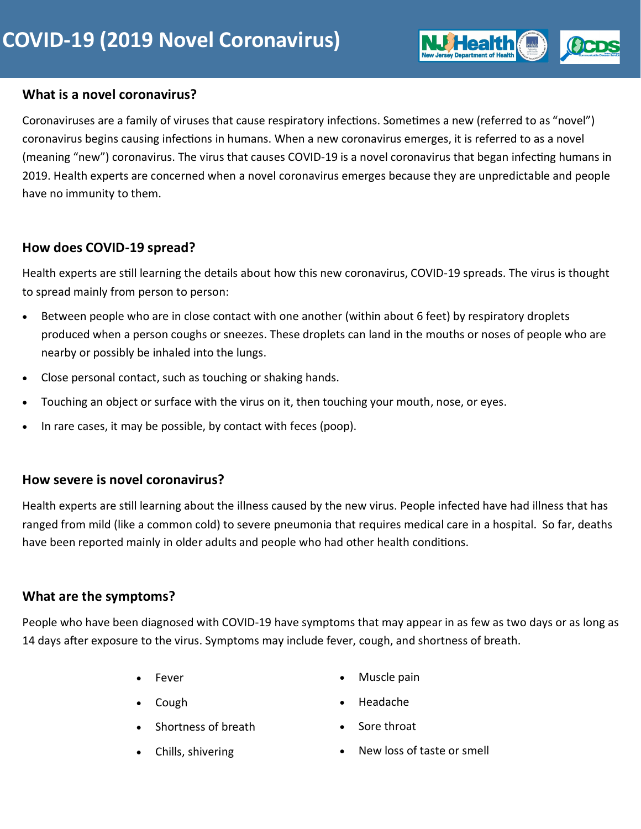### **What is a novel coronavirus?**

Coronaviruses are a family of viruses that cause respiratory infections. Sometimes a new (referred to as "novel") coronavirus begins causing infections in humans. When a new coronavirus emerges, it is referred to as a novel (meaning "new") coronavirus. The virus that causes COVID-19 is a novel coronavirus that began infecting humans in 2019. Health experts are concerned when a novel coronavirus emerges because they are unpredictable and people have no immunity to them.

## **How does COVID-19 spread?**

Health experts are still learning the details about how this new coronavirus, COVID-19 spreads. The virus is thought to spread mainly from person to person:

- Between people who are in close contact with one another (within about 6 feet) by respiratory droplets produced when a person coughs or sneezes. These droplets can land in the mouths or noses of people who are nearby or possibly be inhaled into the lungs.
- Close personal contact, such as touching or shaking hands.
- Touching an object or surface with the virus on it, then touching your mouth, nose, or eyes.
- In rare cases, it may be possible, by contact with feces (poop).

## **How severe is novel coronavirus?**

Health experts are still learning about the illness caused by the new virus. People infected have had illness that has ranged from mild (like a common cold) to severe pneumonia that requires medical care in a hospital. So far, deaths have been reported mainly in older adults and people who had other health conditions.

## **What are the symptoms?**

People who have been diagnosed with COVID-19 have symptoms that may appear in as few as two days or as long as 14 days after exposure to the virus. Symptoms may include fever, cough, and shortness of breath.

• Fever

• Muscle pain

• Cough

• Headache

Sore throat

• Shortness of breath

• Chills, shivering

• New loss of taste or smell